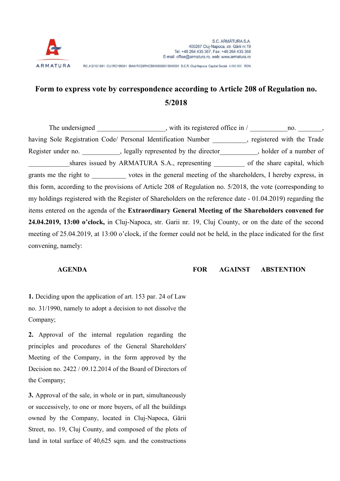

## Form to express vote by correspondence according to Article 208 of Regulation no. 5/2018

The undersigned example with its registered office in / \_\_\_\_\_\_\_\_\_\_\_\_\_\_\_\_\_, having Sole Registration Code/ Personal Identification Number \_\_\_\_\_\_\_\_, registered with the Trade Register under no. \_\_\_\_\_\_\_\_\_, legally represented by the director\_\_\_\_\_\_\_\_\_, holder of a number of \_shares issued by ARMATURA S.A., representing \_\_\_\_\_\_\_\_\_ of the share capital, which grants me the right to \_\_\_\_\_\_\_\_\_\_ votes in the general meeting of the shareholders, I hereby express, in this form, according to the provisions of Article 208 of Regulation no. 5/2018, the vote (corresponding to my holdings registered with the Register of Shareholders on the reference date - 01.04.2019) regarding the items entered on the agenda of the Extraordinary General Meeting of the Shareholders convened for 24.04.2019, 13:00 o'clock, in Cluj-Napoca, str. Garii nr. 19, Cluj County, or on the date of the second meeting of 25.04.2019, at 13:00 o'clock, if the former could not be held, in the place indicated for the first convening, namely:

AGENDA FOR AGAINST ABSTENTION

1. Deciding upon the application of art. 153 par. 24 of Law no. 31/1990, namely to adopt a decision to not dissolve the Company;

2. Approval of the internal regulation regarding the principles and procedures of the General Shareholders' Meeting of the Company, in the form approved by the Decision no. 2422 / 09.12.2014 of the Board of Directors of the Company;

3. Approval of the sale, in whole or in part, simultaneously or successively, to one or more buyers, of all the buildings owned by the Company, located in Cluj-Napoca, Gării Street, no. 19, Cluj County, and composed of the plots of land in total surface of 40,625 sqm. and the constructions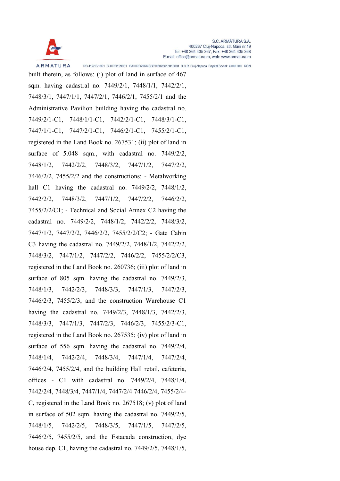

built therein, as follows: (i) plot of land in surface of 467 sqm. having cadastral no. 7449/2/1, 7448/1/1, 7442/2/1, 7448/3/1, 7447/1/1, 7447/2/1, 7446/2/1, 7455/2/1 and the Administrative Pavilion building having the cadastral no. 7449/2/1-C1, 7448/1/1-C1, 7442/2/1-C1, 7448/3/1-C1, 7447/1/1-C1, 7447/2/1-C1, 7446/2/1-C1, 7455/2/1-C1, registered in the Land Book no. 267531; (ii) plot of land in surface of 5.048 sqm., with cadastral no. 7449/2/2, 7448/1/2, 7442/2/2, 7448/3/2, 7447/1/2, 7447/2/2, 7446/2/2, 7455/2/2 and the constructions: - Metalworking hall C1 having the cadastral no. 7449/2/2, 7448/1/2, 7442/2/2, 7448/3/2, 7447/1/2, 7447/2/2, 7446/2/2, 7455/2/2/C1; - Technical and Social Annex C2 having the cadastral no. 7449/2/2, 7448/1/2, 7442/2/2, 7448/3/2, 7447/1/2, 7447/2/2, 7446/2/2, 7455/2/2/C2; - Gate Cabin C3 having the cadastral no. 7449/2/2, 7448/1/2, 7442/2/2, 7448/3/2, 7447/1/2, 7447/2/2, 7446/2/2, 7455/2/2/C3, registered in the Land Book no. 260736; (iii) plot of land in surface of 805 sqm. having the cadastral no. 7449/2/3, 7448/1/3, 7442/2/3, 7448/3/3, 7447/1/3, 7447/2/3, 7446/2/3, 7455/2/3, and the construction Warehouse C1 having the cadastral no. 7449/2/3, 7448/1/3, 7442/2/3, 7448/3/3, 7447/1/3, 7447/2/3, 7446/2/3, 7455/2/3-C1, registered in the Land Book no. 267535; (iv) plot of land in surface of 556 sqm. having the cadastral no. 7449/2/4, 7448/1/4, 7442/2/4, 7448/3/4, 7447/1/4, 7447/2/4, 7446/2/4, 7455/2/4, and the building Hall retail, cafeteria, offices - C1 with cadastral no. 7449/2/4, 7448/1/4, 7442/2/4, 7448/3/4, 7447/1/4, 7447/2/4 7446/2/4, 7455/2/4- C, registered in the Land Book no. 267518; (v) plot of land in surface of 502 sqm. having the cadastral no. 7449/2/5, 7448/1/5, 7442/2/5, 7448/3/5, 7447/1/5, 7447/2/5, 7446/2/5, 7455/2/5, and the Estacada construction, dye house dep. C1, having the cadastral no. 7449/2/5, 7448/1/5,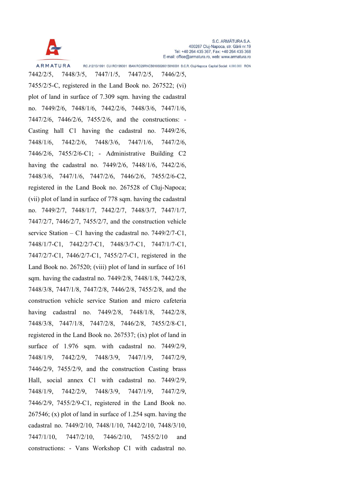

**ARMATURA** 

RC J12/13/1991 CUI RO199001 IBAN RO29RNCB0106026615010001 B.C.R. Cluj-Napoca Capital Social: 4.000.000 RON

7442/2/5, 7448/3/5, 7447/1/5, 7447/2/5, 7446/2/5, 7455/2/5-C, registered in the Land Book no. 267522; (vi) plot of land in surface of 7.309 sqm. having the cadastral no. 7449/2/6, 7448/1/6, 7442/2/6, 7448/3/6, 7447/1/6, 7447/2/6, 7446/2/6, 7455/2/6, and the constructions: - Casting hall C1 having the cadastral no. 7449/2/6, 7448/1/6, 7442/2/6, 7448/3/6, 7447/1/6, 7447/2/6, 7446/2/6, 7455/2/6-C1; - Administrative Building C2 having the cadastral no. 7449/2/6, 7448/1/6, 7442/2/6, 7448/3/6, 7447/1/6, 7447/2/6, 7446/2/6, 7455/2/6-C2, registered in the Land Book no. 267528 of Cluj-Napoca; (vii) plot of land in surface of 778 sqm. having the cadastral no. 7449/2/7, 7448/1/7, 7442/2/7, 7448/3/7, 7447/1/7, 7447/2/7, 7446/2/7, 7455/2/7, and the construction vehicle service Station – C1 having the cadastral no. 7449/2/7-C1, 7448/1/7-C1, 7442/2/7-C1, 7448/3/7-C1, 7447/1/7-C1, 7447/2/7-C1, 7446/2/7-C1, 7455/2/7-C1, registered in the Land Book no. 267520; (viii) plot of land in surface of 161 sqm. having the cadastral no. 7449/2/8, 7448/1/8, 7442/2/8, 7448/3/8, 7447/1/8, 7447/2/8, 7446/2/8, 7455/2/8, and the construction vehicle service Station and micro cafeteria having cadastral no. 7449/2/8, 7448/1/8, 7442/2/8, 7448/3/8, 7447/1/8, 7447/2/8, 7446/2/8, 7455/2/8-C1, registered in the Land Book no. 267537; (ix) plot of land in surface of 1.976 sqm. with cadastral no. 7449/2/9, 7448/1/9, 7442/2/9, 7448/3/9, 7447/1/9, 7447/2/9, 7446/2/9, 7455/2/9, and the construction Casting brass Hall, social annex C1 with cadastral no. 7449/2/9, 7448/1/9, 7442/2/9, 7448/3/9, 7447/1/9, 7447/2/9, 7446/2/9, 7455/2/9-C1, registered in the Land Book no. 267546; (x) plot of land in surface of 1.254 sqm. having the cadastral no. 7449/2/10, 7448/1/10, 7442/2/10, 7448/3/10, 7447/1/10, 7447/2/10, 7446/2/10, 7455/2/10 and constructions: - Vans Workshop C1 with cadastral no.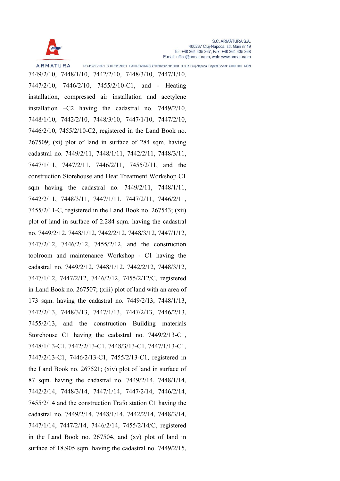

7449/2/10, 7448/1/10, 7442/2/10, 7448/3/10, 7447/1/10, 7447/2/10, 7446/2/10, 7455/2/10-C1, and - Heating installation, compressed air installation and acetylene installation –C2 having the cadastral no. 7449/2/10, 7448/1/10, 7442/2/10, 7448/3/10, 7447/1/10, 7447/2/10, 7446/2/10, 7455/2/10-C2, registered in the Land Book no. 267509; (xi) plot of land in surface of 284 sqm. having cadastral no. 7449/2/11, 7448/1/11, 7442/2/11, 7448/3/11, 7447/1/11, 7447/2/11, 7446/2/11, 7455/2/11, and the construction Storehouse and Heat Treatment Workshop C1 sqm having the cadastral no. 7449/2/11, 7448/1/11, 7442/2/11, 7448/3/11, 7447/1/11, 7447/2/11, 7446/2/11, 7455/2/11-C, registered in the Land Book no. 267543; (xii) plot of land in surface of 2.284 sqm. having the cadastral no. 7449/2/12, 7448/1/12, 7442/2/12, 7448/3/12, 7447/1/12, 7447/2/12, 7446/2/12, 7455/2/12, and the construction toolroom and maintenance Workshop - C1 having the cadastral no. 7449/2/12, 7448/1/12, 7442/2/12, 7448/3/12, 7447/1/12, 7447/2/12, 7446/2/12, 7455/2/12/C, registered in Land Book no. 267507; (xiii) plot of land with an area of 173 sqm. having the cadastral no. 7449/2/13, 7448/1/13, 7442/2/13, 7448/3/13, 7447/1/13, 7447/2/13, 7446/2/13, 7455/2/13, and the construction Building materials Storehouse C1 having the cadastral no. 7449/2/13-C1, 7448/1/13-C1, 7442/2/13-C1, 7448/3/13-C1, 7447/1/13-C1, 7447/2/13-C1, 7446/2/13-C1, 7455/2/13-C1, registered in the Land Book no. 267521; (xiv) plot of land in surface of 87 sqm. having the cadastral no. 7449/2/14, 7448/1/14, 7442/2/14, 7448/3/14, 7447/1/14, 7447/2/14, 7446/2/14, 7455/2/14 and the construction Trafo station C1 having the cadastral no. 7449/2/14, 7448/1/14, 7442/2/14, 7448/3/14, 7447/1/14, 7447/2/14, 7446/2/14, 7455/2/14/C, registered in the Land Book no. 267504, and (xv) plot of land in surface of 18.905 sqm. having the cadastral no. 7449/2/15,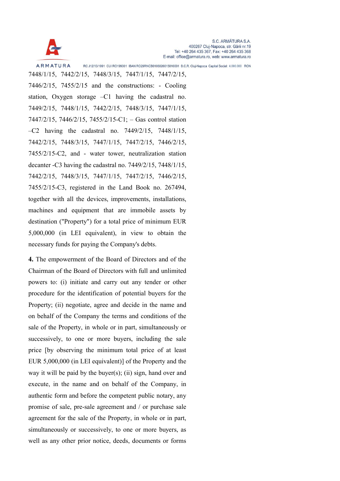

7448/1/15, 7442/2/15, 7448/3/15, 7447/1/15, 7447/2/15, 7446/2/15, 7455/2/15 and the constructions: - Cooling station, Oxygen storage –C1 having the cadastral no. 7449/2/15, 7448/1/15, 7442/2/15, 7448/3/15, 7447/1/15, 7447/2/15, 7446/2/15, 7455/2/15-C1; – Gas control station –C2 having the cadastral no. 7449/2/15, 7448/1/15, 7442/2/15, 7448/3/15, 7447/1/15, 7447/2/15, 7446/2/15, 7455/2/15-C2, and - water tower, neutralization station decanter -C3 having the cadastral no. 7449/2/15, 7448/1/15, 7442/2/15, 7448/3/15, 7447/1/15, 7447/2/15, 7446/2/15, 7455/2/15-C3, registered in the Land Book no. 267494, together with all the devices, improvements, installations, machines and equipment that are immobile assets by destination ("Property") for a total price of minimum EUR 5,000,000 (in LEI equivalent), in view to obtain the necessary funds for paying the Company's debts.

4. The empowerment of the Board of Directors and of the Chairman of the Board of Directors with full and unlimited powers to: (i) initiate and carry out any tender or other procedure for the identification of potential buyers for the Property; (ii) negotiate, agree and decide in the name and on behalf of the Company the terms and conditions of the sale of the Property, in whole or in part, simultaneously or successively, to one or more buyers, including the sale price [by observing the minimum total price of at least EUR 5,000,000 (in LEI equivalent)] of the Property and the way it will be paid by the buyer(s); (ii) sign, hand over and execute, in the name and on behalf of the Company, in authentic form and before the competent public notary, any promise of sale, pre-sale agreement and / or purchase sale agreement for the sale of the Property, in whole or in part, simultaneously or successively, to one or more buyers, as well as any other prior notice, deeds, documents or forms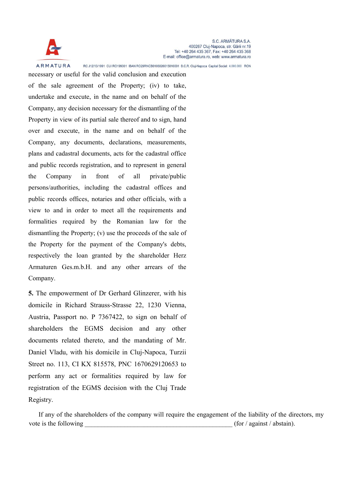

necessary or useful for the valid conclusion and execution of the sale agreement of the Property; (iv) to take, undertake and execute, in the name and on behalf of the Company, any decision necessary for the dismantling of the Property in view of its partial sale thereof and to sign, hand over and execute, in the name and on behalf of the Company, any documents, declarations, measurements, plans and cadastral documents, acts for the cadastral office and public records registration, and to represent in general the Company in front of all private/public persons/authorities, including the cadastral offices and public records offices, notaries and other officials, with a view to and in order to meet all the requirements and formalities required by the Romanian law for the dismantling the Property; (v) use the proceeds of the sale of the Property for the payment of the Company's debts, respectively the loan granted by the shareholder Herz Armaturen Ges.m.b.H. and any other arrears of the Company.

5. The empowerment of Dr Gerhard Glinzerer, with his domicile in Richard Strauss-Strasse 22, 1230 Vienna, Austria, Passport no. P 7367422, to sign on behalf of shareholders the EGMS decision and any other documents related thereto, and the mandating of Mr. Daniel Vladu, with his domicile in Cluj-Napoca, Turzii Street no. 113, CI KX 815578, PNC 1670629120653 to perform any act or formalities required by law for registration of the EGMS decision with the Cluj Trade Registry.

If any of the shareholders of the company will require the engagement of the liability of the directors, my vote is the following  $(for / against / abstain).$